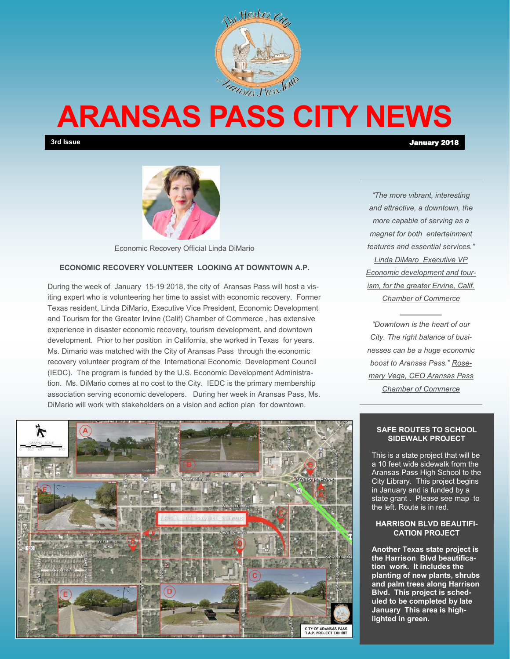

# **ARANSAS PASS CITY NEWS**

**3rd Issue** January 2018



Economic Recovery Official Linda DiMario

### **ECONOMIC RECOVERY VOLUNTEER LOOKING AT DOWNTOWN A.P.**

During the week of January 15-19 2018, the city of Aransas Pass will host a visiting expert who is volunteering her time to assist with economic recovery. Former Texas resident, Linda DiMario, Executive Vice President, Economic Development and Tourism for the Greater Irvine (Calif) Chamber of Commerce , has extensive experience in disaster economic recovery, tourism development, and downtown development. Prior to her position in California, she worked in Texas for years. Ms. Dimario was matched with the City of Aransas Pass through the economic recovery volunteer program of the International Economic Development Council (IEDC). The program is funded by the U.S. Economic Development Administration. Ms. DiMario comes at no cost to the City. IEDC is the primary membership association serving economic developers. During her week in Aransas Pass, Ms. DiMario will work with stakeholders on a vision and action plan for downtown.

*"The more vibrant, interesting and attractive, a downtown, the more capable of serving as a magnet for both entertainment features and essential services." Linda DiMaro Executive VP Economic development and tourism, for the greater Ervine, Calif. Chamber of Commerce*

*"Downtown is the heart of our City. The right balance of businesses can be a huge economic boost to Aransas Pass." Rosemary Vega, CEO Aransas Pass Chamber of Commerce*

*\_\_\_\_\_\_\_\_\_\_*

#### **SAFE ROUTES TO SCHOOL SIDEWALK PROJECT**

This is a state project that will be a 10 feet wide sidewalk from the Aransas Pass High School to the City Library. This project begins in January and is funded by a state grant . Please see map to the left. Route is in red.

#### **HARRISON BLVD BEAUTIFI-CATION PROJECT**

**Another Texas state project is the Harrison Blvd beautification work. It includes the planting of new plants, shrubs and palm trees along Harrison Blvd. This project is scheduled to be completed by late January This area is highlighted in green.** 

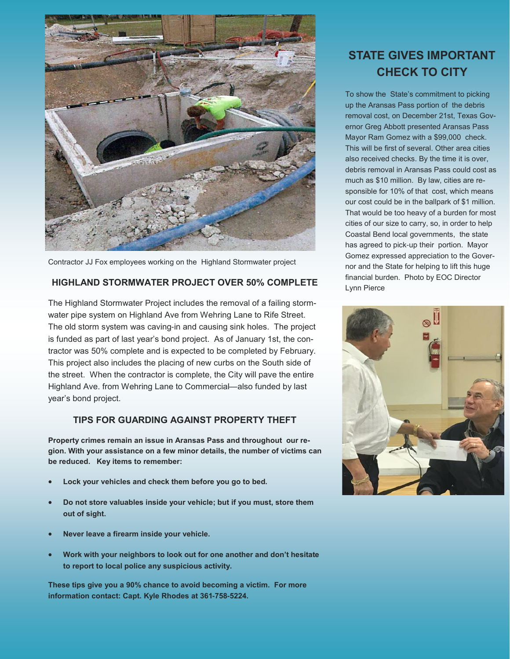

Contractor JJ Fox employees working on the Highland Stormwater project

## **HIGHLAND STORMWATER PROJECT OVER 50% COMPLETE**

The Highland Stormwater Project includes the removal of a failing stormwater pipe system on Highland Ave from Wehring Lane to Rife Street. The old storm system was caving-in and causing sink holes. The project is funded as part of last year's bond project. As of January 1st, the contractor was 50% complete and is expected to be completed by February. This project also includes the placing of new curbs on the South side of the street. When the contractor is complete, the City will pave the entire Highland Ave. from Wehring Lane to Commercial—also funded by last year's bond project.

## **TIPS FOR GUARDING AGAINST PROPERTY THEFT**

**Property crimes remain an issue in Aransas Pass and throughout our region. With your assistance on a few minor details, the number of victims can be reduced. Key items to remember:**

- **Lock your vehicles and check them before you go to bed.**
- **Do not store valuables inside your vehicle; but if you must, store them out of sight.**
- **Never leave a firearm inside your vehicle.**
- **Work with your neighbors to look out for one another and don't hesitate to report to local police any suspicious activity.**

**These tips give you a 90% chance to avoid becoming a victim. For more information contact: Capt. Kyle Rhodes at 361-758-5224.** 

## **STATE GIVES IMPORTANT CHECK TO CITY**

To show the State's commitment to picking up the Aransas Pass portion of the debris removal cost, on December 21st, Texas Governor Greg Abbott presented Aransas Pass Mayor Ram Gomez with a \$99,000 check. This will be first of several. Other area cities also received checks. By the time it is over, debris removal in Aransas Pass could cost as much as \$10 million. By law, cities are responsible for 10% of that cost, which means our cost could be in the ballpark of \$1 million. That would be too heavy of a burden for most cities of our size to carry, so, in order to help Coastal Bend local governments, the state has agreed to pick-up their portion. Mayor Gomez expressed appreciation to the Governor and the State for helping to lift this huge financial burden. Photo by EOC Director Lynn Pierce

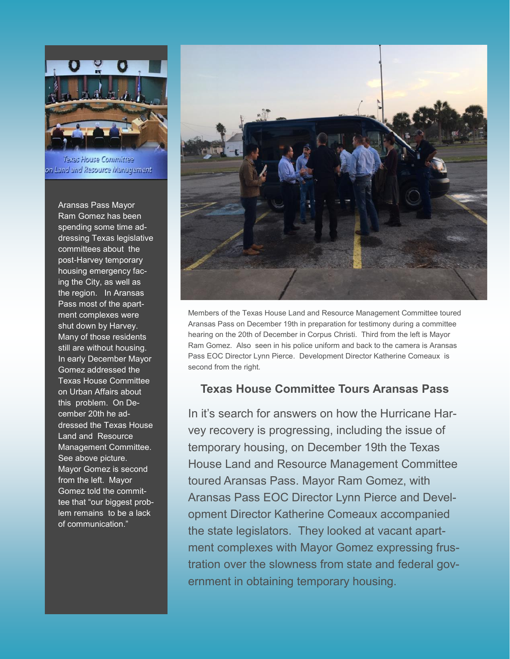

Texas House Committee on Land and Resource Management

Aransas Pass Mayor Ram Gomez has been spending some time addressing Texas legislative committees about the post-Harvey temporary housing emergency facing the City, as well as the region. In Aransas Pass most of the apartment complexes were shut down by Harvey. Many of those residents still are without housing. In early December Mayor Gomez addressed the Texas House Committee on Urban Affairs about this problem. On December 20th he addressed the Texas House Land and Resource Management Committee. See above picture. Mayor Gomez is second from the left. Mayor Gomez told the committee that "our biggest problem remains to be a lack of communication."



Members of the Texas House Land and Resource Management Committee toured Aransas Pass on December 19th in preparation for testimony during a committee hearing on the 20th of December in Corpus Christi. Third from the left is Mayor Ram Gomez. Also seen in his police uniform and back to the camera is Aransas Pass EOC Director Lynn Pierce. Development Director Katherine Comeaux is second from the right.

## **Texas House Committee Tours Aransas Pass**

In it's search for answers on how the Hurricane Harvey recovery is progressing, including the issue of temporary housing, on December 19th the Texas House Land and Resource Management Committee toured Aransas Pass. Mayor Ram Gomez, with Aransas Pass EOC Director Lynn Pierce and Development Director Katherine Comeaux accompanied the state legislators. They looked at vacant apartment complexes with Mayor Gomez expressing frustration over the slowness from state and federal government in obtaining temporary housing.